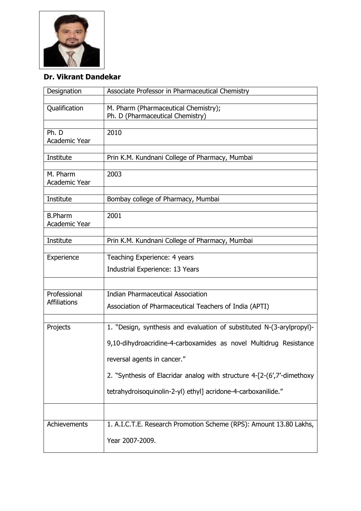

## **Dr. Vikrant Dandekar**

| Designation                         | Associate Professor in Pharmaceutical Chemistry                                                                                                                                                                                                                                                                      |
|-------------------------------------|----------------------------------------------------------------------------------------------------------------------------------------------------------------------------------------------------------------------------------------------------------------------------------------------------------------------|
| Qualification                       | M. Pharm (Pharmaceutical Chemistry);<br>Ph. D (Pharmaceutical Chemistry)                                                                                                                                                                                                                                             |
| Ph. D<br><b>Academic Year</b>       | 2010                                                                                                                                                                                                                                                                                                                 |
| Institute                           | Prin K.M. Kundnani College of Pharmacy, Mumbai                                                                                                                                                                                                                                                                       |
| M. Pharm<br>Academic Year           | 2003                                                                                                                                                                                                                                                                                                                 |
| Institute                           | Bombay college of Pharmacy, Mumbai                                                                                                                                                                                                                                                                                   |
| <b>B.Pharm</b><br>Academic Year     | 2001                                                                                                                                                                                                                                                                                                                 |
| Institute                           | Prin K.M. Kundnani College of Pharmacy, Mumbai                                                                                                                                                                                                                                                                       |
| Experience                          | Teaching Experience: 4 years<br>Industrial Experience: 13 Years                                                                                                                                                                                                                                                      |
| Professional<br><b>Affiliations</b> | <b>Indian Pharmaceutical Association</b><br>Association of Pharmaceutical Teachers of India (APTI)                                                                                                                                                                                                                   |
| Projects                            | 1. "Design, synthesis and evaluation of substituted N-(3-arylpropyl)-<br>9,10-dihydroacridine-4-carboxamides as novel Multidrug Resistance<br>reversal agents in cancer."<br>2. "Synthesis of Elacridar analog with structure 4-[2-(6',7'-dimethoxy<br>tetrahydroisoquinolin-2-yl) ethyl] acridone-4-carboxanilide." |
| Achievements                        | 1. A.I.C.T.E. Research Promotion Scheme (RPS): Amount 13.80 Lakhs,<br>Year 2007-2009.                                                                                                                                                                                                                                |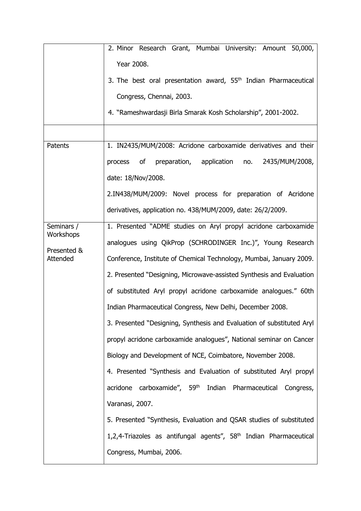|                         | 2. Minor Research Grant, Mumbai University: Amount 50,000,                    |
|-------------------------|-------------------------------------------------------------------------------|
|                         | Year 2008.                                                                    |
|                         | 3. The best oral presentation award, 55 <sup>th</sup> Indian Pharmaceutical   |
|                         | Congress, Chennai, 2003.                                                      |
|                         | 4. "Rameshwardasji Birla Smarak Kosh Scholarship", 2001-2002.                 |
|                         |                                                                               |
| Patents                 | 1. IN2435/MUM/2008: Acridone carboxamide derivatives and their                |
|                         | process of preparation, application no.<br>2435/MUM/2008,                     |
|                         | date: 18/Nov/2008.                                                            |
|                         | 2.IN438/MUM/2009: Novel process for preparation of Acridone                   |
|                         | derivatives, application no. 438/MUM/2009, date: 26/2/2009.                   |
| Seminars /              | 1. Presented "ADME studies on Aryl propyl acridone carboxamide                |
| Workshops               | analogues using QikProp (SCHRODINGER Inc.)", Young Research                   |
| Presented &<br>Attended | Conference, Institute of Chemical Technology, Mumbai, January 2009.           |
|                         | 2. Presented "Designing, Microwave-assisted Synthesis and Evaluation          |
|                         | of substituted Aryl propyl acridone carboxamide analogues." 60th              |
|                         | Indian Pharmaceutical Congress, New Delhi, December 2008.                     |
|                         | 3. Presented "Designing, Synthesis and Evaluation of substituted Aryl         |
|                         | propyl acridone carboxamide analogues", National seminar on Cancer            |
|                         | Biology and Development of NCE, Coimbatore, November 2008.                    |
|                         | 4. Presented "Synthesis and Evaluation of substituted Aryl propyl             |
|                         | acridone carboxamide", 59 <sup>th</sup> Indian Pharmaceutical<br>Congress,    |
|                         | Varanasi, 2007.                                                               |
|                         | 5. Presented "Synthesis, Evaluation and QSAR studies of substituted           |
|                         | 1,2,4-Triazoles as antifungal agents", 58 <sup>th</sup> Indian Pharmaceutical |
|                         | Congress, Mumbai, 2006.                                                       |
|                         |                                                                               |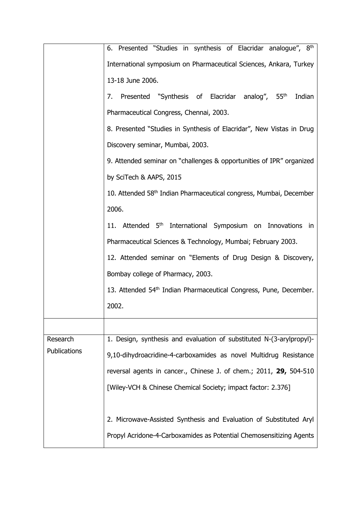|                          | 6. Presented "Studies in synthesis of Elacridar analogue", 8th                 |
|--------------------------|--------------------------------------------------------------------------------|
|                          | International symposium on Pharmaceutical Sciences, Ankara, Turkey             |
|                          | 13-18 June 2006.                                                               |
|                          | 7. Presented "Synthesis of Elacridar analog", 55th<br>Indian                   |
|                          | Pharmaceutical Congress, Chennai, 2003.                                        |
|                          | 8. Presented "Studies in Synthesis of Elacridar", New Vistas in Drug           |
|                          | Discovery seminar, Mumbai, 2003.                                               |
|                          | 9. Attended seminar on "challenges & opportunities of IPR" organized           |
|                          | by SciTech & AAPS, 2015                                                        |
|                          | 10. Attended 58 <sup>th</sup> Indian Pharmaceutical congress, Mumbai, December |
|                          | 2006.                                                                          |
|                          | 11. Attended 5 <sup>th</sup> International Symposium on Innovations<br>in      |
|                          | Pharmaceutical Sciences & Technology, Mumbai; February 2003.                   |
|                          | 12. Attended seminar on "Elements of Drug Design & Discovery,                  |
|                          | Bombay college of Pharmacy, 2003.                                              |
|                          | 13. Attended 54th Indian Pharmaceutical Congress, Pune, December.              |
|                          | 2002.                                                                          |
|                          |                                                                                |
| Research<br>Publications | 1. Design, synthesis and evaluation of substituted N-(3-arylpropyl)-           |
|                          | 9,10-dihydroacridine-4-carboxamides as novel Multidrug Resistance              |
|                          | reversal agents in cancer., Chinese J. of chem.; 2011, 29, 504-510             |
|                          | [Wiley-VCH & Chinese Chemical Society; impact factor: 2.376]                   |
|                          |                                                                                |
|                          | 2. Microwave-Assisted Synthesis and Evaluation of Substituted Aryl             |
|                          | Propyl Acridone-4-Carboxamides as Potential Chemosensitizing Agents            |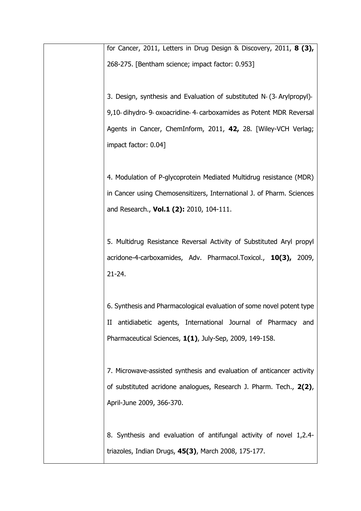for Cancer, 2011, Letters in Drug Design & Discovery, 2011, **8 (3),** 268-275. [Bentham science; impact factor: 0.953] 3. Design, synthesis and Evaluation of substituted N‐(3‐ Arylpropyl)‐ 9,10‐ dihydro‐ 9‐ oxoacridine‐ 4‐ carboxamides as Potent MDR Reversal Agents in Cancer, ChemInform, 2011, **42,** 28. [Wiley-VCH Verlag; impact factor: 0.04] 4. Modulation of P-glycoprotein Mediated Multidrug resistance (MDR) in Cancer using Chemosensitizers, International J. of Pharm. Sciences and Research., **Vol.1 (2):** 2010, 104-111. 5. Multidrug Resistance Reversal Activity of Substituted Aryl propyl acridone-4-carboxamides, Adv. Pharmacol.Toxicol., **10(3),** 2009, 21-24. 6. Synthesis and Pharmacological evaluation of some novel potent type II antidiabetic agents, International Journal of Pharmacy and Pharmaceutical Sciences, **1(1)**, July-Sep, 2009, 149-158. 7. Microwave-assisted synthesis and evaluation of anticancer activity of substituted acridone analogues, Research J. Pharm. Tech., **2(2)**, April-June 2009, 366-370. 8. Synthesis and evaluation of antifungal activity of novel 1,2.4 triazoles, Indian Drugs, **45(3)**, March 2008, 175-177.